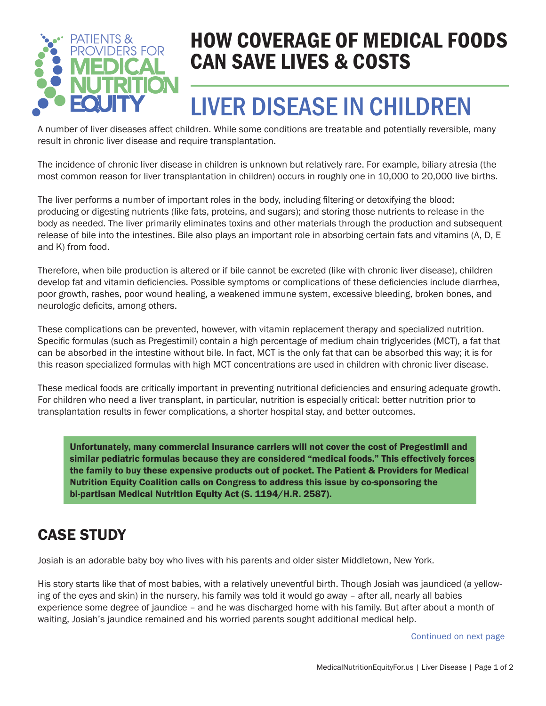

### HOW COVERAGE OF MEDICAL FOODS CAN SAVE LIVES & COSTS

# LIVER DISEASE IN CHILDREN

A number of liver diseases affect children. While some conditions are treatable and potentially reversible, many result in chronic liver disease and require transplantation.

The incidence of chronic liver disease in children is unknown but relatively rare. For example, biliary atresia (the most common reason for liver transplantation in children) occurs in roughly one in 10,000 to 20,000 live births.

The liver performs a number of important roles in the body, including filtering or detoxifying the blood; producing or digesting nutrients (like fats, proteins, and sugars); and storing those nutrients to release in the body as needed. The liver primarily eliminates toxins and other materials through the production and subsequent release of bile into the intestines. Bile also plays an important role in absorbing certain fats and vitamins (A, D, E and K) from food.

Therefore, when bile production is altered or if bile cannot be excreted (like with chronic liver disease), children develop fat and vitamin deficiencies. Possible symptoms or complications of these deficiencies include diarrhea, poor growth, rashes, poor wound healing, a weakened immune system, excessive bleeding, broken bones, and neurologic deficits, among others.

These complications can be prevented, however, with vitamin replacement therapy and specialized nutrition. Specific formulas (such as Pregestimil) contain a high percentage of medium chain triglycerides (MCT), a fat that can be absorbed in the intestine without bile. In fact, MCT is the only fat that can be absorbed this way; it is for this reason specialized formulas with high MCT concentrations are used in children with chronic liver disease.

These medical foods are critically important in preventing nutritional deficiencies and ensuring adequate growth. For children who need a liver transplant, in particular, nutrition is especially critical: better nutrition prior to transplantation results in fewer complications, a shorter hospital stay, and better outcomes.

Unfortunately, many commercial insurance carriers will not cover the cost of Pregestimil and similar pediatric formulas because they are considered "medical foods." This effectively forces the family to buy these expensive products out of pocket. The Patient & Providers for Medical Nutrition Equity Coalition calls on Congress to address this issue by co-sponsoring the bi-partisan Medical Nutrition Equity Act (S. 1194/H.R. 2587).

#### CASE STUDY

Josiah is an adorable baby boy who lives with his parents and older sister Middletown, New York.

His story starts like that of most babies, with a relatively uneventful birth. Though Josiah was jaundiced (a yellowing of the eyes and skin) in the nursery, his family was told it would go away – after all, nearly all babies experience some degree of jaundice – and he was discharged home with his family. But after about a month of waiting, Josiah's jaundice remained and his worried parents sought additional medical help.

Continued on next page